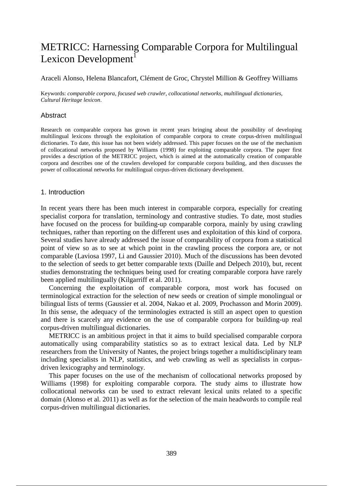# METRICC: Harnessing Comparable Corpora for Multilingual Lexicon Development<sup>1</sup>

## Araceli Alonso, Helena Blancafort, Clément de Groc, Chrystel Million & Geoffrey Williams

Keywords: *comparable corpora*, *focused web crawler*, *collocational networks*, *multilingual dictionaries*, *Cultural Heritage lexicon*.

# Abstract

Research on comparable corpora has grown in recent years bringing about the possibility of developing multilingual lexicons through the exploitation of comparable corpora to create corpus-driven multilingual dictionaries. To date, this issue has not been widely addressed. This paper focuses on the use of the mechanism of collocational networks proposed by Williams (1998) for exploiting comparable corpora. The paper first provides a description of the METRICC project, which is aimed at the automatically creation of comparable corpora and describes one of the crawlers developed for comparable corpora building, and then discusses the power of collocational networks for multilingual corpus-driven dictionary development.

# 1. Introduction

In recent years there has been much interest in comparable corpora, especially for creating specialist corpora for translation, terminology and contrastive studies. To date, most studies have focused on the process for building-up comparable corpora, mainly by using crawling techniques, rather than reporting on the different uses and exploitation of this kind of corpora. Several studies have already addressed the issue of comparability of corpora from a statistical point of view so as to see at which point in the crawling process the corpora are, or not comparable (Laviosa 1997, Li and Gaussier 2010). Much of the discussions has been devoted to the selection of seeds to get better comparable texts (Daille and Delpech 2010), but, recent studies demonstrating the techniques being used for creating comparable corpora have rarely been applied multilingually (Kilgarriff et al. 2011).

Concerning the exploitation of comparable corpora, most work has focused on terminological extraction for the selection of new seeds or creation of simple monolingual or bilingual lists of terms (Gaussier et al. 2004, Nakao et al. 2009, Prochasson and Morin 2009). In this sense, the adequacy of the terminologies extracted is still an aspect open to question and there is scarcely any evidence on the use of comparable corpora for building-up real corpus-driven multilingual dictionaries.

METRICC is an ambitious project in that it aims to build specialised comparable corpora automatically using comparability statistics so as to extract lexical data. Led by NLP researchers from the University of Nantes, the project brings together a multidisciplinary team including specialists in NLP, statistics, and web crawling as well as specialists in corpusdriven lexicography and terminology.

This paper focuses on the use of the mechanism of collocational networks proposed by Williams (1998) for exploiting comparable corpora. The study aims to illustrate how collocational networks can be used to extract relevant lexical units related to a specific domain (Alonso et al. 2011) as well as for the selection of the main headwords to compile real corpus-driven multilingual dictionaries.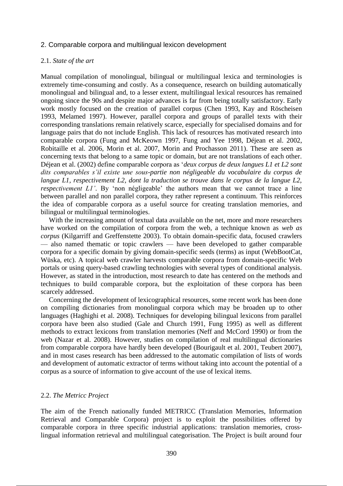## 2. Comparable corpora and multilingual lexicon development

### 2.1. *State of the art*

Manual compilation of monolingual, bilingual or multilingual lexica and terminologies is extremely time-consuming and costly. As a consequence, research on building automatically monolingual and bilingual and, to a lesser extent, multilingual lexical resources has remained ongoing since the 90s and despite major advances is far from being totally satisfactory. Early work mostly focused on the creation of parallel corpus (Chen 1993, Kay and Röscheisen 1993, Melamed 1997). However, parallel corpora and groups of parallel texts with their corresponding translations remain relatively scarce, especially for specialised domains and for language pairs that do not include English. This lack of resources has motivated research into comparable corpora (Fung and McKeown 1997, Fung and Yee 1998, Déjean et al. 2002, Robitaille et al. 2006, Morin et al. 2007, Morin and Prochasson 2011). These are seen as concerning texts that belong to a same topic or domain, but are not translations of each other. Déjean et al. (2002) define comparable corpora as '*deux corpus de deux langues L1 et L2 sont dits comparables s'il existe une sous-partie non négligeable du vocabulaire du corpus de langue L1, respectivement L2, dont la traduction se trouve dans le corpus de la langue L2, respectivement L1'*. By 'non négligeable' the authors mean that we cannot trace a line between parallel and non parallel corpora, they rather represent a continuum. This reinforces the idea of comparable corpora as a useful source for creating translation memories, and bilingual or multilingual terminologies.

With the increasing amount of textual data available on the net, more and more researchers have worked on the compilation of corpora from the web, a technique known as *web as corpus* (Kilgarriff and Greffenstette 2003). To obtain domain-specific data, focused crawlers — also named thematic or topic crawlers — have been developed to gather comparable corpora for a specific domain by giving domain-specific seeds (terms) as input (WebBootCat, Wüska, etc). A topical web crawler harvests comparable corpora from domain-specific Web portals or using query-based crawling technologies with several types of conditional analysis. However, as stated in the introduction, most research to date has centered on the methods and techniques to build comparable corpora, but the exploitation of these corpora has been scarcely addressed.

Concerning the development of lexicographical resources, some recent work has been done on compiling dictionaries from monolingual corpora which may be broaden up to other languages (Haghighi et al. 2008). Techniques for developing bilingual lexicons from parallel corpora have been also studied (Gale and Church 1991, Fung 1995) as well as different methods to extract lexicons from translation memories (Neff and McCord 1990) or from the web (Nazar et al. 2008). However, studies on compilation of real multilingual dictionaries from comparable corpora have hardly been developed (Bourigault et al. 2001, Teubert 2007), and in most cases research has been addressed to the automatic compilation of lists of words and development of automatic extractor of terms without taking into account the potential of a corpus as a source of information to give account of the use of lexical items.

## 2.2. *The Metricc Project*

The aim of the French nationally funded METRICC (Translation Memories, Information Retrieval and Comparable Corpora) project is to exploit the possibilities offered by comparable corpora in three specific industrial applications: translation memories, crosslingual information retrieval and multilingual categorisation. The Project is built around four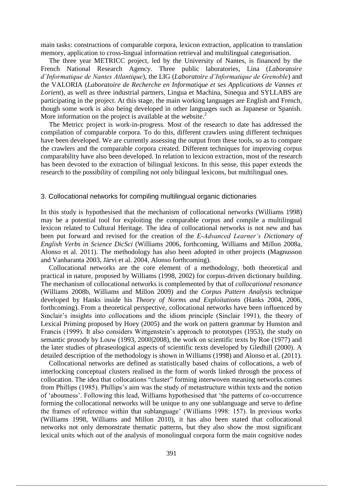main tasks: constructions of comparable corpora, lexicon extraction, application to translation memory, application to cross-lingual information retrieval and multilingual categorisation.

The three year METRICC project, led by the University of Nantes, is financed by the French National Research Agency. Three public laboratories, Lina (*Laboratoire d'Informatique de Nantes Atlantique*), the LIG (*Laboratoire d'Informatique de Grenoble*) and the VALORIA (*Laboratoire de Recherche en Informatique et ses Applications de Vannes et Lorient*), as well as three industrial partners, Lingua et Machina, Sinequa and SYLLABS are participating in the project. At this stage, the main working languages are English and French, though some work is also being developed in other languages such as Japanese or Spanish. More information on the project is available at the website.<sup>2</sup>

The Metricc project is work-in-progress. Most of the research to date has addressed the compilation of comparable corpora. To do this, different crawlers using different techniques have been developed. We are currently assessing the output from these tools, so as to compare the crawlers and the comparable corpora created. Different techniques for improving corpus comparability have also been developed. In relation to lexicon extraction, most of the research has been devoted to the extraction of bilingual lexicons. In this sense, this paper extends the research to the possibility of compiling not only bilingual lexicons, but multilingual ones.

#### 3. Collocational networks for compiling multilingual organic dictionaries

In this study is hypothesised that the mechanism of collocational networks (Williams 1998) may be a potential tool for exploiting the comparable corpus and compile a multilingual lexicon related to Cultural Heritage. The idea of collocational networks is not new and has been put forward and revised for the creation of the *E-Advanced Learner's Dictionary of English Verbs in Science DicSci* (Williams 2006, forthcoming, Williams and Millon 2008a, Alonso et al. 2011). The methodology has also been adopted in other projects (Magnusson and Vanharanta 2003, Järvi et al. 2004, Alonso forthcoming).

Collocational networks are the core element of a methodology, both theoretical and practical in nature, proposed by Williams (1998, 2002) for corpus-driven dictionary building. The mechanism of collocational networks is complemented by that of *collocational resonance* (Williams 2008b, Williams and Millon 2009) and the *Corpus Pattern Analysis* technique developed by Hanks inside his *Theory of Norms and Exploitations* (Hanks 2004, 2006, forthcoming). From a theoretical perspective, collocational networks have been influenced by Sinclair's insights into collocations and the idiom principle (Sinclair 1991), the theory of Lexical Priming proposed by Hoey (2005) and the work on pattern grammar by Hunston and Francis (1999). It also considers Wittgenstein's approach to prototypes (1953), the study on semantic prosody by Louw (1993, 2000|2008), the work on scientific texts by Roe (1977) and the later studies of phraseological aspects of scientific texts developed by Gledhill (2000). A detailed description of the methodology is shown in Williams (1998) and Alonso et al. (2011).

Collocational networks are defined as statistically based chains of collocations, a web of interlocking conceptual clusters realised in the form of words linked through the process of collocation. The idea that collocations "cluster" forming interwoven meaning networks comes from Phillips (1985). Phillips's aim was the study of metastructure within texts and the notion of 'aboutness'. Following this lead, Williams hypothesised that 'the patterns of co-occurrence forming the collocational networks will be unique to any one sublanguage and serve to define the frames of reference within that sublanguage' (Williams 1998: 157). In previous works (Williams 1998, Williams and Millon 2010), it has also been stated that collocational networks not only demonstrate thematic patterns, but they also show the most significant lexical units which out of the analysis of monolingual corpora form the main cognitive nodes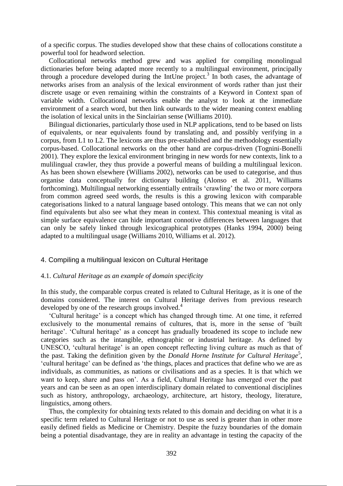of a specific corpus. The studies developed show that these chains of collocations constitute a powerful tool for headword selection.

Collocational networks method grew and was applied for compiling monolingual dictionaries before being adapted more recently to a multilingual environment, principally through a procedure developed during the IntUne project.<sup>3</sup> In both cases, the advantage of networks arises from an analysis of the lexical environment of words rather than just their discrete usage or even remaining within the constraints of a Keyword in Context span of variable width. Collocational networks enable the analyst to look at the immediate environment of a search word, but then link outwards to the wider meaning context enabling the isolation of lexical units in the Sinclairian sense (Williams 2010).

Bilingual dictionaries, particularly those used in NLP applications, tend to be based on lists of equivalents, or near equivalents found by translating and, and possibly verifying in a corpus, from L1 to L2. The lexicons are thus pre-established and the methodology essentially corpus-based. Collocational networks on the other hand are corpus-driven (Tognini-Bonelli 2001). They explore the lexical environment bringing in new words for new contexts, link to a mulilingual crawler, they thus provide a powerful means of building a multilingual lexicon. As has been shown elsewhere (Williams 2002), networks can be used to categorise, and thus organise data conceptually for dictionary building (Alonso et al. 2011, Williams forthcoming). Multilingual networking essentially entrails 'crawling' the two or more corpora from common agreed seed words, the results is this a growing lexicon with comparable categorisations linked to a natural language based ontology. This means that we can not only find equivalents but also see what they mean in context. This contextual meaning is vital as simple surface equivalence can hide important connotive differences between languages that can only be safely linked through lexicographical prototypes (Hanks 1994, 2000) being adapted to a multilingual usage (Williams 2010, Williams et al. 2012).

# 4. Compiling a multilingual lexicon on Cultural Heritage

# 4.1. *Cultural Heritage as an example of domain specificity*

In this study, the comparable corpus created is related to Cultural Heritage, as it is one of the domains considered. The interest on Cultural Heritage derives from previous research developed by one of the research groups involved.<sup>4</sup>

'Cultural heritage' is a concept which has changed through time. At one time, it referred exclusively to the monumental remains of cultures, that is, more in the sense of 'built heritage'. 'Cultural heritage' as a concept has gradually broadened its scope to include new categories such as the intangible, ethnographic or industrial heritage. As defined by UNESCO, 'cultural heritage' is an open concept reflecting living culture as much as that of the past. Taking the definition given by the *Donald Horne Institute for Cultural Heritage*<sup>5</sup> , 'cultural heritage' can be defined as 'the things, places and practices that define who we are as individuals, as communities, as nations or civilisations and as a species. It is that which we want to keep, share and pass on'. As a field, Cultural Heritage has emerged over the past years and can be seen as an open interdisciplinary domain related to conventional disciplines such as history, anthropology, archaeology, architecture, art history, theology, literature, linguistics, among others.

Thus, the complexity for obtaining texts related to this domain and deciding on what it is a specific term related to Cultural Heritage or not to use as seed is greater than in other more easily defined fields as Medicine or Chemistry. Despite the fuzzy boundaries of the domain being a potential disadvantage, they are in reality an advantage in testing the capacity of the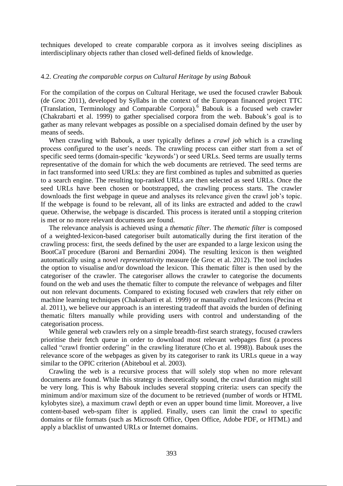techniques developed to create comparable corpora as it involves seeing disciplines as interdisciplinary objects rather than closed well-defined fields of knowledge.

## 4.2. *Creating the comparable corpus on Cultural Heritage by using Babouk*

For the compilation of the corpus on Cultural Heritage, we used the focused crawler Babouk (de Groc 2011), developed by Syllabs in the context of the European financed project TTC (Translation, Terminology and Comparable Corpora). <sup>6</sup> Babouk is a focused web crawler (Chakrabarti et al. 1999) to gather specialised corpora from the web. Babouk's goal is to gather as many relevant webpages as possible on a specialised domain defined by the user by means of seeds.

When crawling with Babouk, a user typically defines a *crawl job* which is a crawling process configured to the user's needs. The crawling process can either start from a set of specific seed terms (domain-specific 'keywords') or seed URLs. Seed terms are usually terms representative of the domain for which the web documents are retrieved. The seed terms are in fact transformed into seed URLs: they are first combined as tuples and submitted as queries to a search engine. The resulting top-ranked URLs are then selected as seed URLs. Once the seed URLs have been chosen or bootstrapped, the crawling process starts. The crawler downloads the first webpage in queue and analyses its relevance given the crawl job's topic. If the webpage is found to be relevant, all of its links are extracted and added to the crawl queue. Otherwise, the webpage is discarded. This process is iterated until a stopping criterion is met or no more relevant documents are found.

The relevance analysis is achieved using a *thematic filter*. The *thematic filter* is composed of a weighted-lexicon-based categoriser built automatically during the first iteration of the crawling process: first, the seeds defined by the user are expanded to a large lexicon using the BootCaT procedure (Baroni and Bernardini 2004). The resulting lexicon is then weighted automatically using a novel *representativity* measure (de Groc et al. 2012). The tool includes the option to visualise and/or download the lexicon. This thematic filter is then used by the categoriser of the crawler. The categoriser allows the crawler to categorise the documents found on the web and uses the thematic filter to compute the relevance of webpages and filter out non relevant documents. Compared to existing focused web crawlers that rely either on machine learning techniques (Chakrabarti et al. 1999) or manually crafted lexicons (Pecina et al. 2011), we believe our approach is an interesting tradeoff that avoids the burden of defining thematic filters manually while providing users with control and understanding of the categorisation process.

While general web crawlers rely on a simple breadth-first search strategy, focused crawlers prioritise their fetch queue in order to download most relevant webpages first (a process called "crawl frontier ordering" in the crawling literature (Cho et al. 1998)). Babouk uses the relevance score of the webpages as given by its categoriser to rank its URLs queue in a way similar to the OPIC criterion (Abiteboul et al. 2003).

Crawling the web is a recursive process that will solely stop when no more relevant documents are found. While this strategy is theoretically sound, the crawl duration might still be very long. This is why Babouk includes several stopping criteria: users can specify the minimum and/or maximum size of the document to be retrieved (number of words or HTML kylobytes size), a maximum crawl depth or even an upper bound time limit. Moreover, a live content-based web-spam filter is applied. Finally, users can limit the crawl to specific domains or file formats (such as Microsoft Office, Open Office, Adobe PDF, or HTML) and apply a blacklist of unwanted URLs or Internet domains.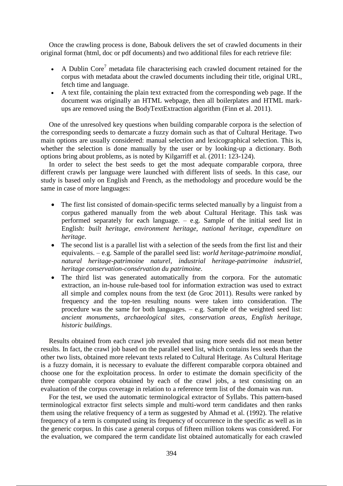Once the crawling process is done, Babouk delivers the set of crawled documents in their original format (html, doc or pdf documents) and two additional files for each retrieve file:

- A Dublin Core<sup>7</sup> metadata file characterising each crawled document retained for the corpus with metadata about the crawled documents including their title, original URL, fetch time and language.
- A text file, containing the plain text extracted from the corresponding web page. If the document was originally an HTML webpage, then all boilerplates and HTML markups are removed using the BodyTextExtraction algorithm (Finn et al. 2011).

One of the unresolved key questions when building comparable corpora is the selection of the corresponding seeds to demarcate a fuzzy domain such as that of Cultural Heritage. Two main options are usually considered: manual selection and lexicographical selection. This is, whether the selection is done manually by the user or by looking-up a dictionary. Both options bring about problems, as is noted by Kilgarriff et al. (2011: 123-124).

In order to select the best seeds to get the most adequate comparable corpora, three different crawls per language were launched with different lists of seeds. In this case, our study is based only on English and French, as the methodology and procedure would be the same in case of more languages:

- The first list consisted of domain-specific terms selected manually by a linguist from a corpus gathered manually from the web about Cultural Heritage. This task was performed separately for each language. – e.g. Sample of the initial seed list in English: *built heritage*, *environment heritage*, *national heritage*, *expenditure on heritage*.
- The second list is a parallel list with a selection of the seeds from the first list and their equivalents. – e.g. Sample of the parallel seed list: *world heritage*-*patrimoine mondial*, *natural heritage*-*patrimoine naturel*, *industrial heritage*-*patrimoine industriel*, *heritage conservation*-*consérvation du patrimoine*.
- The third list was generated automatically from the corpora. For the automatic extraction, an in-house rule-based tool for information extraction was used to extract all simple and complex nouns from the text (de Groc 2011). Results were ranked by frequency and the top-ten resulting nouns were taken into consideration. The procedure was the same for both languages. – e.g. Sample of the weighted seed list: *ancient monuments*, *archaeological sites*, *conservation areas*, *English heritage*, *historic buildings*.

Results obtained from each crawl job revealed that using more seeds did not mean better results. In fact, the crawl job based on the parallel seed list, which contains less seeds than the other two lists, obtained more relevant texts related to Cultural Heritage. As Cultural Heritage is a fuzzy domain, it is necessary to evaluate the different comparable corpora obtained and choose one for the exploitation process. In order to estimate the domain specificity of the three comparable corpora obtained by each of the crawl jobs, a test consisting on an evaluation of the corpus coverage in relation to a reference term list of the domain was run.

For the test, we used the automatic terminological extractor of Syllabs. This pattern-based terminological extractor first selects simple and multi-word term candidates and then ranks them using the relative frequency of a term as suggested by Ahmad et al. (1992). The relative frequency of a term is computed using its frequency of occurrence in the specific as well as in the generic corpus. In this case a general corpus of fifteen million tokens was considered. For the evaluation, we compared the term candidate list obtained automatically for each crawled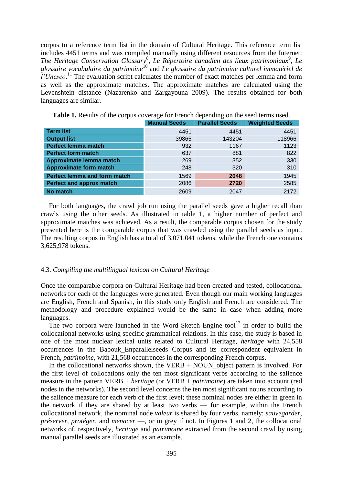corpus to a reference term list in the domain of Cultural Heritage. This reference term list includes 4451 terms and was compiled manually using different resources from the Internet: The Heritage Conservation Glossary<sup>8</sup>, Le Répertoire canadien des lieux patrimoniaux<sup>9</sup>, Le *glossaire vocabulaire du patrimoine*<sup>10</sup> and *Le glossaire du patrimoine culturel immatériel de l'Unesco*. <sup>11</sup> The evaluation script calculates the number of exact matches per lemma and form as well as the approximate matches. The approximate matches are calculated using the Levenshtein distance (Nazarenko and Zargayouna 2009). The results obtained for both languages are similar.

|                                     | <b>Manual Seeds</b> | <b>Parallel Seeds</b> | <b>Weighted Seeds</b> |
|-------------------------------------|---------------------|-----------------------|-----------------------|
| <b>Term list</b>                    | 4451                | 4451                  | 4451                  |
| <b>Output list</b>                  | 39865               | 143204                | 118966                |
| <b>Perfect lemma match</b>          | 932                 | 1167                  | 1123                  |
| <b>Perfect form match</b>           | 637                 | 881                   | 822                   |
| Approximate lemma match             | 269                 | 352                   | 330                   |
| <b>Approximate form match</b>       | 248                 | 320                   | 310                   |
| <b>Perfect lemma and form match</b> | 1569                | 2048                  | 1945                  |
| <b>Perfect and approx match</b>     | 2086                | 2720                  | 2585                  |
| No match                            | 2609                | 2047                  | 2172                  |

**Table 1.** Results of the corpus coverage for French depending on the seed terms used.

For both languages, the crawl job run using the parallel seeds gave a higher recall than crawls using the other seeds. As illustrated in table 1, a higher number of perfect and approximate matches was achieved. As a result, the comparable corpus chosen for the study presented here is the comparable corpus that was crawled using the parallel seeds as input. The resulting corpus in English has a total of 3,071,041 tokens, while the French one contains 3,625,978 tokens.

#### 4.3. *Compiling the multilingual lexicon on Cultural Heritage*

Once the comparable corpora on Cultural Heritage had been created and tested, collocational networks for each of the languages were generated. Even though our main working languages are English, French and Spanish, in this study only English and French are considered. The methodology and procedure explained would be the same in case when adding more languages.

The two corpora were launched in the Word Sketch Engine tool<sup>12</sup> in order to build the collocational networks using specific grammatical relations. In this case, the study is based in one of the most nuclear lexical units related to Cultural Heritage, *heritage* with 24,558 occurrences in the Babouk\_Enparallelseeds Corpus and its correspondent equivalent in French, *patrimoine*, with 21,568 occurrences in the corresponding French corpus.

In the collocational networks shown, the VERB  $+$  NOUN\_object pattern is involved. For the first level of collocations only the ten most significant verbs according to the salience measure in the pattern VERB + *heritage* (or VERB + *patrimoine*) are taken into account (red nodes in the networks). The second level concerns the ten most significant nouns according to the salience measure for each verb of the first level; these nominal nodes are either in green in the network if they are shared by at least two verbs — for example, within the French collocational network, the nominal node *valeur* is shared by four verbs, namely: *sauvegarder*, *préserver*, *protéger*, and *menacer* —, or in grey if not. In Figures 1 and 2, the collocational networks of, respectively, *heritage* and *patrimoine* extracted from the second crawl by using manual parallel seeds are illustrated as an example.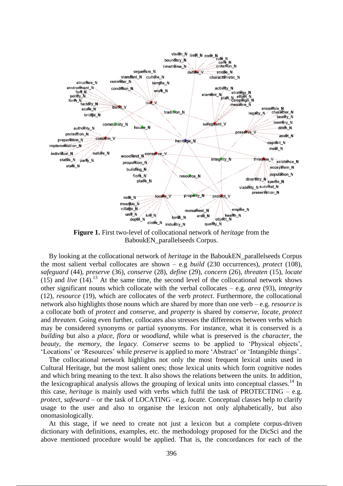

**Figure 1.** First two-level of collocational network of *heritage* from the BaboukEN\_parallelseeds Corpus.

By looking at the collocational network of *heritage* in the BaboukEN\_parallelseeds Corpus the most salient verbal collocates are shown – e.g *build* (230 occurrences), *protect* (108), *safeguard* (44), *preserve* (36), *conserve* (28), *define* (29), *concern* (26), *threaten* (15), *locate*  (15) and *live*  $(14)$ .<sup>13</sup> At the same time, the second level of the collocational network shows other significant nouns which collocate with the verbal collocates – e.g. *area* (93), *integrity*  (12), *resource* (19), which are collocates of the verb *protect*. Furthermore, the collocational network also highlights those nouns which are shared by more than one verb – e.g. *resource* is a collocate both of *protect* and *conserve,* and *property* is shared by *conserve*, *locate*, *protect* and *threaten*. Going even further, collocates also stresses the differences between verbs which may be considered synonyms or partial synonyms. For instance, what it is conserved is a *building* but also a *place*, *flora* or *woodland*, while what is preserved is the *character*, the *beauty*, the *memory*, the *legacy*. *Conserve* seems to be applied to 'Physical objects', 'Locations' or 'Resources' while *preserve* is applied to more 'Abstract' or 'Intangible things'.

The collocational network highlights not only the most frequent lexical units used in Cultural Heritage, but the most salient ones; those lexical units which form cognitive nodes and which bring meaning to the text. It also shows the relations between the units. In addition, the lexicographical analysis allows the grouping of lexical units into conceptual classes.<sup>14</sup> In this case, *heritage* is mainly used with verbs which fulfil the task of PROTECTING – e.g. *protect*, *safeward* – or the task of LOCATING –e.g. *locate*. Conceptual classes help to clarify usage to the user and also to organise the lexicon not only alphabetically, but also onomasiologically.

At this stage, if we need to create not just a lexicon but a complete corpus-driven dictionary with definitions, examples, etc. the methodology proposed for the DicSci and the above mentioned procedure would be applied. That is, the concordances for each of the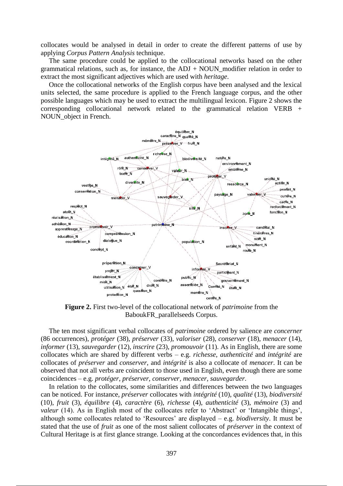collocates would be analysed in detail in order to create the different patterns of use by applying *Corpus Pattern Analysis* technique.

The same procedure could be applied to the collocational networks based on the other grammatical relations, such as, for instance, the  $ADJ + NOUN$  modifier relation in order to extract the most significant adjectives which are used with *heritage*.

Once the collocational networks of the English corpus have been analysed and the lexical units selected, the same procedure is applied to the French language corpus, and the other possible languages which may be used to extract the multilingual lexicon. Figure 2 shows the corresponding collocational network related to the grammatical relation VERB + NOUN\_object in French.



**Figure 2.** First two-level of the collocational network of *patrimoine* from the BaboukFR\_parallelseeds Corpus.

The ten most significant verbal collocates of *patrimoine* ordered by salience are *concerner*  (86 occurrences), *protéger* (38), *préserver* (33), *valoriser* (28), *conserver* (18), *menacer* (14), *informer* (13), *sauvegarder* (12)*, inscrire* (23), *promouvoir* (11). As in English, there are some collocates which are shared by different verbs – e.g. *richesse*, *authenticité* and *intégrité* are collocates of *préserver* and *conserver*, and *intégrité* is also a collocate of *menacer*. It can be observed that not all verbs are coincident to those used in English, even though there are some coincidences – e.g. *protéger*, *préserver*, *conserver*, *menacer*, *sauvegarder*.

In relation to the collocates, some similarities and differences between the two languages can be noticed. For instance, *préserver* collocates with *intégrité* (10), *qualité* (13), *biodiversité* (10), *fruit* (3), *équilibre* (4), *caractère* (6), *richesse* (4), *authenticité* (3), *mémoire* (3) and *valeur* (14). As in English most of the collocates refer to 'Abstract' or 'Intangible things', although some collocates related to 'Resources' are displayed – e.g. *biodiversity*. It must be stated that the use of *fruit* as one of the most salient collocates of *préserver* in the context of Cultural Heritage is at first glance strange. Looking at the concordances evidences that, in this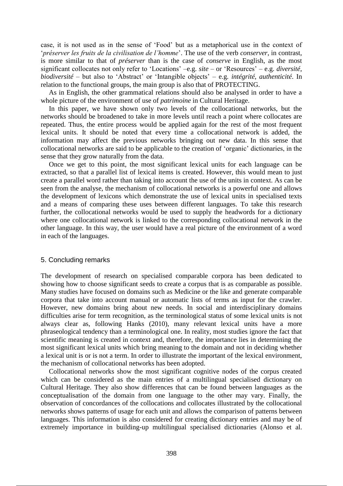case, it is not used as in the sense of 'Food' but as a metaphorical use in the context of '*préserver les fruits de la civilisation de l'homme*'. The use of the verb *conserver*, in contrast, is more similar to that of *préserver* than is the case of *conserve* in English, as the most significant collocates not only refer to 'Locations' –e.g. *site* – or 'Resources' – e.g. *diversité*, *biodiversité* – but also to 'Abstract' or 'Intangible objects' – e.g. *intégrité*, *authenticité*. In relation to the functional groups, the main group is also that of PROTECTING.

As in English, the other grammatical relations should also be analysed in order to have a whole picture of the environment of use of *patrimoine* in Cultural Heritage.

In this paper, we have shown only two levels of the collocational networks, but the networks should be broadened to take in more levels until reach a point where collocates are repeated. Thus, the entire process would be applied again for the rest of the most frequent lexical units. It should be noted that every time a collocational network is added, the information may affect the previous networks bringing out new data. In this sense that collocational networks are said to be applicable to the creation of 'organic' dictionaries, in the sense that they grow naturally from the data.

Once we get to this point, the most significant lexical units for each language can be extracted, so that a parallel list of lexical items is created. However, this would mean to just create a parallel word rather than taking into account the use of the units in context. As can be seen from the analyse, the mechanism of collocational networks is a powerful one and allows the development of lexicons which demonstrate the use of lexical units in specialised texts and a means of comparing these uses between different languages. To take this research further, the collocational networks would be used to supply the headwords for a dictionary where one collocational network is linked to the corresponding collocational network in the other language. In this way, the user would have a real picture of the environment of a word in each of the languages.

### 5. Concluding remarks

The development of research on specialised comparable corpora has been dedicated to showing how to choose significant seeds to create a corpus that is as comparable as possible. Many studies have focused on domains such as Medicine or the like and generate comparable corpora that take into account manual or automatic lists of terms as input for the crawler. However, new domains bring about new needs. In social and interdisciplinary domains difficulties arise for term recognition, as the terminological status of some lexical units is not always clear as, following Hanks (2010), many relevant lexical units have a more phraseological tendency than a terminological one. In reality, most studies ignore the fact that scientific meaning is created in context and, therefore, the importance lies in determining the most significant lexical units which bring meaning to the domain and not in deciding whether a lexical unit is or is not a term. In order to illustrate the important of the lexical environment, the mechanism of collocational networks has been adopted.

Collocational networks show the most significant cognitive nodes of the corpus created which can be considered as the main entries of a multilingual specialised dictionary on Cultural Heritage. They also show differences that can be found between languages as the conceptualisation of the domain from one language to the other may vary. Finally, the observation of concordances of the collocations and collocates illustrated by the collocational networks shows patterns of usage for each unit and allows the comparison of patterns between languages. This information is also considered for creating dictionary entries and may be of extremely importance in building-up multilingual specialised dictionaries (Alonso et al.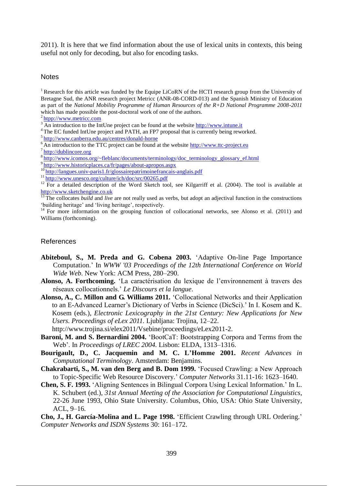2011). It is here that we find information about the use of lexical units in contexts, this being useful not only for decoding, but also for encoding tasks.

### **Notes**

<sup>1</sup> Research for this article was funded by the Equipe LiCoRN of the HCTI research group from the University of Bretagne Sud, the ANR research project Metricc (ANR-08-CORD-013) and the Spanish Ministry of Education as part of the *National Mobility Programme of Human Resources of the R+D National Programme 2008-2011* which has made possible the post-doctoral work of one of the authors.

- <sup>4</sup> The EC funded IntUne project and PATH, an FP7 proposal that is currently being reworked.
- <sup>5</sup>http://www.canberra.edu.au/centres/donald-horne
- $6\overline{\text{An}}$  introduction to the TTC project can be found at the website  $\frac{http://www.ttc-project.eu)}{http://www.ttc-project.eu)}$
- <sup>7</sup>http://dublincore.org
- 8http://www.icomos.org/~fleblanc/documents/terminology/doc\_terminology\_glossary\_ef.html
- <sup>9</sup>http://www.historicplaces.ca/fr/pages/about-apropos.aspx
- <sup>10</sup>http://langues.univ-paris1.fr/glossairepatrimoinefrancais-anglais.pdf
- $11 \frac{\text{http://www.unesco.org/culture/ich/doc/src/00265.pdf}}{\text{http://www.unesco.org/culture/ich/doc/src/00265.pdf}}$

 $14$  For more information on the grouping function of collocational networks, see Alonso et al. (2011) and Williams (forthcoming).

## References

- **Abiteboul, S., M. Preda and G. Cobena 2003.** 'Adaptive On-line Page Importance Computation.' In *WWW '03 Proceedings of the 12th International Conference on World Wide Web.* New York: ACM Press, 280-290.
- **Alonso, A. Forthcoming.** 'La caractérisation du lexique de l'environnement à travers des réseaux collocationnels.' *Le Discours et la langue*.
- **Alonso, A., C. Millon and G. Williams 2011.** 'Collocational Networks and their Application to an E-Advanced Learner's Dictionary of Verbs in Science (DicSci).' In I. Kosem and K. Kosem (eds.), *Electronic Lexicography in the 21st Century: New Applications for New Users. Proceedings of eLex 2011.* Ljubljana: Trojina, 12–22.

http://www.trojina.si/elex2011/Vsebine/proceedings/eLex2011-2.

- **Baroni, M. and S. Bernardini 2004.** 'BootCaT: Bootstrapping Corpora and Terms from the Web'. In *Proceedings of LREC 2004*. Lisbon: ELDA, 1313–1316.
- **Bourigault, D., C. Jacquemin and M. C. L'Homme 2001.** *Recent Advances in Computational Terminology*. Amsterdam: Benjamins.
- **Chakrabarti, S., M. van den Berg and B. Dom 1999.** 'Focused Crawling: a New Approach to Topic-Specific Web Resource Discovery.' *Computer Networks* 31.11-16: 1623–1640.
- **Chen, S. F. 1993.** 'Aligning Sentences in Bilingual Corpora Using Lexical Information.' In L. K. Schubert (ed.), *31st Annual Meeting of the Association for Computational Linguistics*, 22-26 June 1993, Ohio State University. Columbus, Ohio, USA: Ohio State University, ACL, 9‒16.

**Cho, J., H. García-Molina and L. Page 1998.** 'Efficient Crawling through URL Ordering.' *Computer Networks and ISDN Systems* 30: 161–172.

<sup>2</sup>htpp://www.metricc.com

<sup>3</sup> An introduction to the IntUne project can be found at the website http://www.intune.it

<sup>&</sup>lt;sup>12</sup> For a detailed description of the Word Sketch tool, see Kilgarriff et al. (2004). The tool is available at http://www.sketchengine.co.uk

<sup>&</sup>lt;sup>13</sup>The collocates *build* and *live* are not really used as verbs, but adopt an adjectival function in the constructions 'building heritage' and 'living heritage', respectively.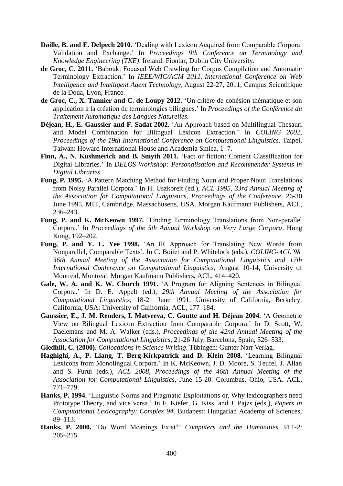- **Daille, B. and E. Delpech 2010.** 'Dealing with Lexicon Acquired from Comparable Corpora: Validation and Exchange.' In *Proceedings 9th Conference on Terminology and Knowledge Engineering (TKE)*. Ireland: Fiontar, Dublin City University.
- **de Groc, C. 2011.** 'Babouk: Focused Web Crawling for Corpus Compilation and Automatic Terminology Extraction.' In *IEEE/WIC/ACM 2011: International Conference on Web Intelligence and Intelligent Agent Technology*, August 22-27, 2011, Campus Scientifique de la Doua, Lyon, France.
- **de Groc, C., X. Tannier and C. de Loupy 2012.** 'Un critère de cohésion thématique et son application à la création de terminologies bilingues.' In *Proceedings of the Conférence du Traitement Automatique des Langues Naturelles*.
- **Déjean, H., E. Gaussier and F. Sadat 2002.** 'An Approach based on Multilingual Thesauri and Model Combination for Bilingual Lexicon Extraction.' In *COLING 2002, Proceedings of the 19th International Conference on Computational Linguistics*. Taipei, Taiwan: Howard International House and Academia Sinica, 1-7.
- **Finn, A., N. Kushmerick and B. Smyth 2011.** 'Fact or fiction: Content Classification for Digital Libraries.' In *DELOS Workshop: Personalisation and Recommender Systems in Digital Libraries*.
- **Fung, P. 1995.** 'A Pattern Matching Method for Finding Noun and Proper Noun Translations from Noisy Parallel Corpora.' In H. Uszkoreit (ed.), *ACL 1995, 33rd Annual Meeting of the Association for Computational Linguistics, Proceedings of the Conference*, 26-30 June 1995. MIT, Cambridge, Massachusetts, USA. Morgan Kaufmann Publishers, ACL, 236‒243.
- **Fung, P. and K. McKeown 1997.** 'Finding Terminology Translations from Non-parallel Corpora.' In *Proceedings of the 5th Annual Workshop on Very Large Corpora*. Hong Kong, 192-202.
- **Fung, P. and Y. L. Yee 1998.** 'An IR Approach for Translating New Words from Nonparallel, Comparable Texts'. In C. Boitet and P. Whitelock (eds.), *COLING-ACL'98, 36th Annual Meeting of the Association for Computational Linguistics and 17th International Conference on Computational Linguistics*, August 10-14, University of Montreal, Montreal. Morgan Kaufmann Publishers, ACL, 414–420.
- **Gale, W. A. and K. W. Church 1991.** 'A Program for Aligning Sentences in Bilingual Corpora.' In D. E. Appelt (ed.), *29th Annual Meeting of the Association for Computational Linguistics*, 18-21 June 1991, University of California, Berkeley. California, USA: University of California, ACL, 177-184.
- **Gaussier, E., J. M. Renders, I. Matveeva, C. Goutte and H. Déjean 2004.** 'A Geometric View on Bilingual Lexicon Extraction from Comparable Corpora.' In D. Scott, W. Daelemans and M. A. Walker (eds.), *Proceedings of the 42nd Annual Meeting of the Association for Computational Linguistics*, 21-26 July, Barcelona, Spain, 526–533.
- **Gledhill, C. (2000).** *Collocations in Science Writing*. Tübingen: Gunter Narr Verlag.
- **Haghighi, A., P. Liang, T. Berg-Kirkpatrick and D. Klein 2008.** 'Learning Bilingual Lexicons from Monolingual Corpora.' In K. McKeown, J. D. Moore, S. Teufel, J. Allan and S. Furui (eds.), *ACL 2008, Proceedings of the 46th Annual Meeting of the Association for Computational Linguistics*, June 15-20. Columbus, Ohio, USA. ACL, 771‒779.
- **Hanks, P. 1994.** 'Linguistic Norms and Pragmatic Exploitations or, Why lexicographers need Prototype Theory, and vice versa.' In F. Kiefer, G. Kiss, and J. Pajzs (eds.), *Papers in Computational Lexicography: Complex 94*. Budapest: Hungarian Academy of Sciences, 89‒113.
- **Hanks, P. 2000.** 'Do Word Meanings Exist?' *Computers and the Humanities* 34.1-2: 205‒215.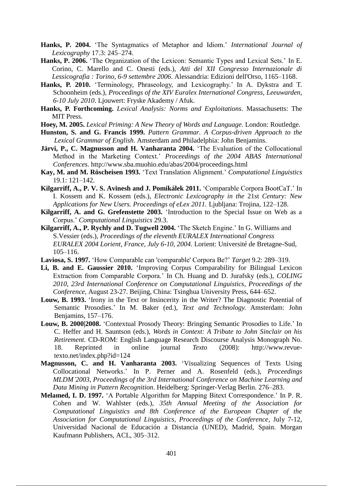- **Hanks, P. 2004.** 'The Syntagmatics of Metaphor and Idiom.' *International Journal of Lexicography* 17.3: 245‒274.
- **Hanks, P. 2006.** 'The Organization of the Lexicon: Semantic Types and Lexical Sets.' In E. Corino, C. Marello and C. Onesti (eds.), *Atti del XII Congresso Internazionale di*  Lessicografia : Torino, 6-9 settembre 2006. Alessandria: Edizioni dell'Orso, 1165–1168.
- **Hanks, P. 2010.** 'Terminology, Phraseology, and Lexicography.' In A. Dykstra and T. Schoonheim (eds.), *Proceedings of the XIV Euralex International Congress*, *Leeuwarden, 6-10 July 2010*. Ljouwert: Fryske Akademy / Afuk.
- **Hanks, P. Forthcoming.** *Lexical Analysis: Norms and Exploitations*. Massachusetts: The MIT Press.
- **Hoey, M. 2005.** *Lexical Priming: A New Theory of Words and Language*. London: Routledge.
- **Hunston, S. and G. Francis 1999.** *Pattern Grammar. A Corpus-driven Approach to the Lexical Grammar of English*. Amsterdam and Philadelphia: John Benjamins.
- **Järvi, P., C. Magnusson and H. Vanharanta 2004.** 'The Evaluation of the Collocational Method in the Marketing Context.' *Proceedings of the 2004 ABAS International Conferences*. http://www.sba.muohio.edu/abas/2004/proceedings.html
- **Kay, M. and M. Röscheisen 1993.** 'Text Translation Alignment.' *Computational Linguistics*  19.1: 121–142.
- **Kilgarriff, A., P. V. S. Avinesh and J. Pomikálek 2011.** 'Comparable Corpora BootCaT.' In I. Kossem and K. Kossem (eds.), *Electronic Lexicography in the* 21st *Century: New Applications for New Users. Proceedings of eLex 2011.* Ljubljana: Trojina, 122–128.
- **Kilgarriff, A. and G. Grefenstette 2003.** 'Introduction to the Special Issue on Web as a Corpus.' *Computational Linguistics* 29.3.
- **Kilgarriff, A., P. Rychly and D. Tugwell 2004.** 'The Sketch Engine.' In G. Williams and S.Vessier (eds.), *Proceedings of the eleventh EURALEX International Congress EURALEX 2004 Lorient, France, July 6-10, 2004*. Lorient: Université de Bretagne-Sud, 105‒116.
- **Laviosa, S. 1997.** 'How Comparable can 'comparable' Corpora Be?' *Target* 9.2: 289‒319.
- **Li, B. and E. Gaussier 2010.** 'Improving Corpus Comparability for Bilingual Lexicon Extraction from Comparable Corpora.' In Ch. Huang and D. Jurafsky (eds.), *COLING 2010, 23rd International Conference on Computational Linguistics, Proceedings of the Conference, August 23-27. Beijing, China: Tsinghua University Press, 644–652.*
- Louw, B. 1993. 'Irony in the Text or Insincerity in the Writer? The Diagnostic Potential of Semantic Prosodies.' In M. Baker (ed.), *Text and Technology.* Amsterdam: John Benjamins, 157–176.
- **Louw, B. 2000|2008.** 'Contextual Prosody Theory: Bringing Semantic Prosodies to Life.' In C. Heffer and H. Sauntson (eds.), *Words in Context: A Tribute to John Sinclair on his Retirement*. CD-ROM: English Language Research Discourse Analysis Monograph No. 18. Reprinted in online journal *Texto* (2008): http://www.revuetexto.net/index.php?id=124
- **Magnusson, C. and H. Vanharanta 2003.** 'Visualizing Sequences of Texts Using Collocational Networks.' In P. Perner and A. Rosenfeld (eds.), *Proceedings MLDM'2003, Proceedings of the 3rd International Conference on Machine Learning and Data Mining in Pattern Recognition*. Heidelberg: Springer-Verlag Berlin. 276‒283.
- **Melamed, I. D. 1997.** 'A Portable Algorithm for Mapping Bitext Correspondence.' In P. R. Cohen and W. Wahlster (eds.), *35th Annual Meeting of the Association for Computational Linguistics and 8th Conference of the European Chapter of the Association for Computational Linguistics, Proceedings of the Conference*, July 7-12, Universidad Nacional de Educación a Distancia (UNED), Madrid, Spain. Morgan Kaufmann Publishers, ACL, 305–312.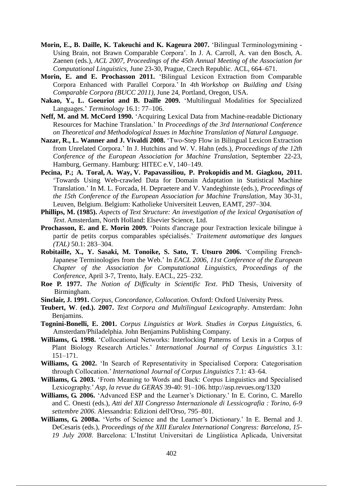- **Morin, E., B. Daille, K. Takeuchi and K. Kageura 2007.** 'Bilingual Terminologymining Using Brain, not Brawn Comparable Corpora'. In J. A. Carroll, A. van den Bosch, A. Zaenen (eds.), *ACL 2007, Proceedings of the 45th Annual Meeting of the Association for Computational Linguistics, June 23-30, Prague, Czech Republic. ACL, 664–671.*
- **Morin, E. and E. Prochasson 2011.** 'Bilingual Lexicon Extraction from Comparable Corpora Enhanced with Parallel Corpora.' In *4th Workshop on Building and Using Comparable Corpora (BUCC 2011)*, June 24, Portland, Oregon, USA.
- **Nakao, Y., L. Goeuriot and B. Daille 2009.** 'Multilingual Modalities for Specialized Languages.' *Terminology* 16.1: 77‒106.
- **Neff, M. and M. McCord 1990.** 'Acquiring Lexical Data from Machine-readable Dictionary Resources for Machine Translation.' In *Proceedings of the 3rd International Conference on Theoretical and Methodological Issues in Machine Translation of Natural Language*.
- **Nazar, R., L. Wanner and J. Vivaldi 2008.** 'Two-Step Flow in Bilingual Lexicon Extraction from Unrelated Corpora.' In J. Hutchins and W. V. Hahn (eds.), *Proceedings of the 12th Conference of the European Association for Machine Translation*, September 22-23, Hamburg, Germany. Hamburg: HITEC e.V, 140-149.
- **Pecina, P.; A. Toral, A. Way, V. Papavassiliou, P. Prokopidis and M. Giagkou, 2011.** 'Towards Using Web-crawled Data for Domain Adaptation in Statistical Machine Translation.' In M. L. Forcada, H. Depraetere and V. Vandeghinste (eds.), *Proceedings of the 15th Conference of the European Association for Machine Translation*, May 30-31, Leuven, Belgium. Belgium: Katholieke Universiteit Leuven, EAMT, 297–304.
- **Phillips, M. (1985).** *Aspects of Text Structure: An investigation of the lexical Organisation of Text*. Amsterdam, North Holland: Elsevier Science, Ltd.
- **Prochasson, E. and E. Morin 2009.** 'Points d'ancrage pour l'extraction lexicale bilingue à partir de petits corpus comparables spécialisés.' *Traitement automatique des langues (TAL)* 50.1: 283‒304.
- **Robitaille, X., Y. Sasaki, M. Tonoike, S. Sato, T. Utsuro 2006.** 'Compiling French-Japanese Terminologies from the Web.' In *EACL 2006, 11st Conference of the European Chapter of the Association for Computational Linguistics, Proceedings of the Conference*, April 3-7, Trento, Italy. EACL, 225–232.
- **Roe P. 1977.** *The Notion of Difficulty in Scientific Text*. PhD Thesis, University of Birmingham.
- **Sinclair, J. 1991.** *Corpus, Concordance, Collocation*. Oxford: Oxford University Press.
- **Teubert, W**. **(ed.). 2007.** *Text Corpora and Multilingual Lexicography*. Amsterdam: John Benjamins.
- **Tognini-Bonelli, E. 2001.** *Corpus Linguistics at Work. Studies in Corpus Linguistics*, 6. Amsterdam/Philadelphia. John Benjamins Publishing Company.
- **Williams, G. 1998.** 'Collocational Networks: Interlocking Patterns of Lexis in a Corpus of Plant Biology Research Articles.' *International Journal of Corpus Linguistics* 3.1: 151‒171.
- **Williams, G. 2002.** 'In Search of Representativity in Specialised Corpora: Categorisation through Collocation.' *International Journal of Corpus Linguistics* 7.1: 43‒64.
- **Williams, G. 2003.** 'From Meaning to Words and Back: Corpus Linguistics and Specialised Lexicography.' *Asp, la revue du GERAS* 39-40: 91-106. http://asp.revues.org/1320
- **Williams, G. 2006.** 'Advanced ESP and the Learner's Dictionary.' In E. Corino, C. Marello and C. Onesti (eds.), *Atti del XII Congresso Internazionale di Lessicografia : Torino, 6-9*  settembre 2006. Alessandria: Edizioni dell'Orso, 795-801.
- **Williams, G. 2008a.** 'Verbs of Science and the Learner's Dictionary.' In E. Bernal and J. DeCesaris (eds.), *Proceedings of the XIII Euralex International Congress: Barcelona, 15- 19 July 2008*. Barcelona: L'Institut Universitari de Lingüistica Aplicada, Universitat